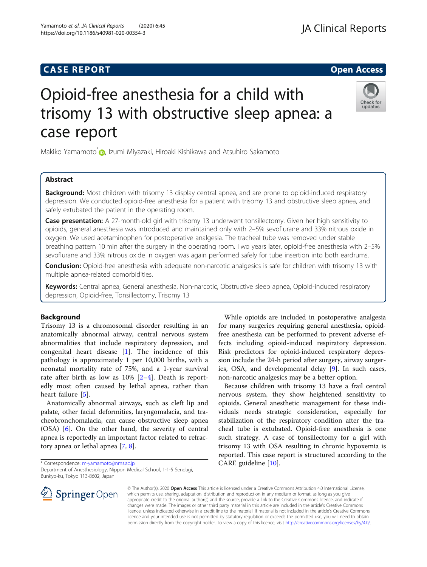# **CASE REPORT CASE REPORT CASE REPORT**

# Opioid-free anesthesia for a child with trisomy 13 with obstructive sleep apnea: a case report

Makiko Yamamoto<sup>\*</sup> (b. Izumi Miyazaki[,](http://orcid.org/0000-0002-7867-2152) Hiroaki Kishikawa and Atsuhiro Sakamoto

# Abstract

Background: Most children with trisomy 13 display central apnea, and are prone to opioid-induced respiratory depression. We conducted opioid-free anesthesia for a patient with trisomy 13 and obstructive sleep apnea, and safely extubated the patient in the operating room.

Case presentation: A 27-month-old girl with trisomy 13 underwent tonsillectomy. Given her high sensitivity to opioids, general anesthesia was introduced and maintained only with 2–5% sevoflurane and 33% nitrous oxide in oxygen. We used acetaminophen for postoperative analgesia. The tracheal tube was removed under stable breathing pattern 10 min after the surgery in the operating room. Two years later, opioid-free anesthesia with 2–5% sevoflurane and 33% nitrous oxide in oxygen was again performed safely for tube insertion into both eardrums.

Conclusion: Opioid-free anesthesia with adequate non-narcotic analgesics is safe for children with trisomy 13 with multiple apnea-related comorbidities.

Keywords: Central apnea, General anesthesia, Non-narcotic, Obstructive sleep apnea, Opioid-induced respiratory depression, Opioid-free, Tonsillectomy, Trisomy 13

#### Background

Trisomy 13 is a chromosomal disorder resulting in an anatomically abnormal airway, central nervous system abnormalities that include respiratory depression, and congenital heart disease [[1\]](#page-3-0). The incidence of this pathology is approximately 1 per 10,000 births, with a neonatal mortality rate of 75%, and a 1-year survival rate after birth as low as  $10\%$   $[2-4]$  $[2-4]$  $[2-4]$  $[2-4]$ . Death is reportedly most often caused by lethal apnea, rather than heart failure [[5\]](#page-3-0).

Anatomically abnormal airways, such as cleft lip and palate, other facial deformities, laryngomalacia, and tracheobronchomalacia, can cause obstructive sleep apnea (OSA) [[6\]](#page-3-0). On the other hand, the severity of central apnea is reportedly an important factor related to refractory apnea or lethal apnea [[7,](#page-3-0) [8\]](#page-3-0).

\* Correspondence: [m-yamamoto@nms.ac.jp](mailto:m-yamamoto@nms.ac.jp)

Department of Anesthesiology, Nippon Medical School, 1-1-5 Sendagi, Bunkyo-ku, Tokyo 113-8602, Japan

While opioids are included in postoperative analgesia for many surgeries requiring general anesthesia, opioidfree anesthesia can be performed to prevent adverse effects including opioid-induced respiratory depression. Risk predictors for opioid-induced respiratory depression include the 24-h period after surgery, airway surgeries, OSA, and developmental delay [[9\]](#page-3-0). In such cases, non-narcotic analgesics may be a better option.

Because children with trisomy 13 have a frail central nervous system, they show heightened sensitivity to opioids. General anesthetic management for these individuals needs strategic consideration, especially for stabilization of the respiratory condition after the tracheal tube is extubated. Opioid-free anesthesia is one such strategy. A case of tonsillectomy for a girl with trisomy 13 with OSA resulting in chronic hypoxemia is reported. This case report is structured according to the CARE guideline [\[10\]](#page-3-0).

© The Author(s). 2020 Open Access This article is licensed under a Creative Commons Attribution 4.0 International License, which permits use, sharing, adaptation, distribution and reproduction in any medium or format, as long as you give appropriate credit to the original author(s) and the source, provide a link to the Creative Commons licence, and indicate if changes were made. The images or other third party material in this article are included in the article's Creative Commons licence, unless indicated otherwise in a credit line to the material. If material is not included in the article's Creative Commons licence and your intended use is not permitted by statutory regulation or exceeds the permitted use, you will need to obtain permission directly from the copyright holder. To view a copy of this licence, visit <http://creativecommons.org/licenses/by/4.0/>.

Yamamoto et al. JA Clinical Reports (2020) 6:45 https://doi.org/10.1186/s40981-020-00354-3





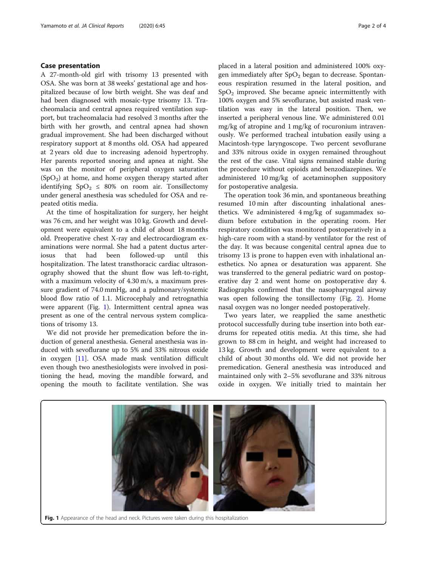#### Case presentation

A 27-month-old girl with trisomy 13 presented with OSA. She was born at 38 weeks' gestational age and hospitalized because of low birth weight. She was deaf and had been diagnosed with mosaic-type trisomy 13. Tracheomalacia and central apnea required ventilation support, but tracheomalacia had resolved 3 months after the birth with her growth, and central apnea had shown gradual improvement. She had been discharged without respiratory support at 8 months old. OSA had appeared at 2 years old due to increasing adenoid hypertrophy. Her parents reported snoring and apnea at night. She was on the monitor of peripheral oxygen saturation  $(SpO<sub>2</sub>)$  at home, and home oxygen therapy started after identifying  $SpO<sub>2</sub> \le 80\%$  on room air. Tonsillectomy under general anesthesia was scheduled for OSA and repeated otitis media.

At the time of hospitalization for surgery, her height was 76 cm, and her weight was 10 kg. Growth and development were equivalent to a child of about 18 months old. Preoperative chest X-ray and electrocardiogram examinations were normal. She had a patent ductus arteriosus that had been followed-up until this hospitalization. The latest transthoracic cardiac ultrasonography showed that the shunt flow was left-to-right, with a maximum velocity of 4.30 m/s, a maximum pressure gradient of 74.0 mmHg, and a pulmonary/systemic blood flow ratio of 1.1. Microcephaly and retrognathia were apparent (Fig. 1). Intermittent central apnea was present as one of the central nervous system complications of trisomy 13.

We did not provide her premedication before the induction of general anesthesia. General anesthesia was induced with sevoflurane up to 5% and 33% nitrous oxide in oxygen [\[11](#page-3-0)]. OSA made mask ventilation difficult even though two anesthesiologists were involved in positioning the head, moving the mandible forward, and opening the mouth to facilitate ventilation. She was placed in a lateral position and administered 100% oxygen immediately after  $SpO<sub>2</sub>$  began to decrease. Spontaneous respiration resumed in the lateral position, and  $SpO<sub>2</sub>$  improved. She became apneic intermittently with 100% oxygen and 5% sevoflurane, but assisted mask ventilation was easy in the lateral position. Then, we inserted a peripheral venous line. We administered 0.01 mg/kg of atropine and 1 mg/kg of rocuronium intravenously. We performed tracheal intubation easily using a Macintosh-type laryngoscope. Two percent sevoflurane and 33% nitrous oxide in oxygen remained throughout the rest of the case. Vital signs remained stable during the procedure without opioids and benzodiazepines. We administered 10 mg/kg of acetaminophen suppository for postoperative analgesia.

The operation took 36 min, and spontaneous breathing resumed 10 min after discounting inhalational anesthetics. We administered 4 mg/kg of sugammadex sodium before extubation in the operating room. Her respiratory condition was monitored postoperatively in a high-care room with a stand-by ventilator for the rest of the day. It was because congenital central apnea due to trisomy 13 is prone to happen even with inhalational anesthetics. No apnea or desaturation was apparent. She was transferred to the general pediatric ward on postoperative day 2 and went home on postoperative day 4. Radiographs confirmed that the nasopharyngeal airway was open following the tonsillectomy (Fig. [2](#page-2-0)). Home nasal oxygen was no longer needed postoperatively.

Two years later, we reapplied the same anesthetic protocol successfully during tube insertion into both eardrums for repeated otitis media. At this time, she had grown to 88 cm in height, and weight had increased to 13 kg. Growth and development were equivalent to a child of about 30 months old. We did not provide her premedication. General anesthesia was introduced and maintained only with 2–5% sevoflurane and 33% nitrous oxide in oxygen. We initially tried to maintain her

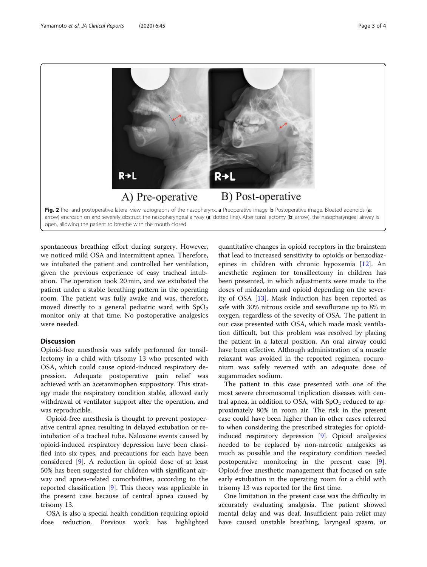<span id="page-2-0"></span>

spontaneous breathing effort during surgery. However, we noticed mild OSA and intermittent apnea. Therefore, we intubated the patient and controlled her ventilation, given the previous experience of easy tracheal intubation. The operation took 20 min, and we extubated the patient under a stable breathing pattern in the operating room. The patient was fully awake and was, therefore, moved directly to a general pediatric ward with  $SpO<sub>2</sub>$ monitor only at that time. No postoperative analgesics were needed.

# Discussion

Opioid-free anesthesia was safely performed for tonsillectomy in a child with trisomy 13 who presented with OSA, which could cause opioid-induced respiratory depression. Adequate postoperative pain relief was achieved with an acetaminophen suppository. This strategy made the respiratory condition stable, allowed early withdrawal of ventilator support after the operation, and was reproducible.

Opioid-free anesthesia is thought to prevent postoperative central apnea resulting in delayed extubation or reintubation of a tracheal tube. Naloxone events caused by opioid-induced respiratory depression have been classified into six types, and precautions for each have been considered [[9\]](#page-3-0). A reduction in opioid dose of at least 50% has been suggested for children with significant airway and apnea-related comorbidities, according to the reported classification [[9\]](#page-3-0). This theory was applicable in the present case because of central apnea caused by trisomy 13.

OSA is also a special health condition requiring opioid dose reduction. Previous work has highlighted

quantitative changes in opioid receptors in the brainstem that lead to increased sensitivity to opioids or benzodiazepines in children with chronic hypoxemia [[12\]](#page-3-0). An anesthetic regimen for tonsillectomy in children has been presented, in which adjustments were made to the doses of midazolam and opioid depending on the severity of OSA [\[13\]](#page-3-0). Mask induction has been reported as safe with 30% nitrous oxide and sevoflurane up to 8% in oxygen, regardless of the severity of OSA. The patient in our case presented with OSA, which made mask ventilation difficult, but this problem was resolved by placing the patient in a lateral position. An oral airway could have been effective. Although administration of a muscle relaxant was avoided in the reported regimen, rocuronium was safely reversed with an adequate dose of sugammadex sodium.

The patient in this case presented with one of the most severe chromosomal triplication diseases with central apnea, in addition to OSA, with  $SpO<sub>2</sub>$  reduced to approximately 80% in room air. The risk in the present case could have been higher than in other cases referred to when considering the prescribed strategies for opioidinduced respiratory depression [\[9\]](#page-3-0). Opioid analgesics needed to be replaced by non-narcotic analgesics as much as possible and the respiratory condition needed postoperative monitoring in the present case [\[9](#page-3-0)]. Opioid-free anesthetic management that focused on safe early extubation in the operating room for a child with trisomy 13 was reported for the first time.

One limitation in the present case was the difficulty in accurately evaluating analgesia. The patient showed mental delay and was deaf. Insufficient pain relief may have caused unstable breathing, laryngeal spasm, or